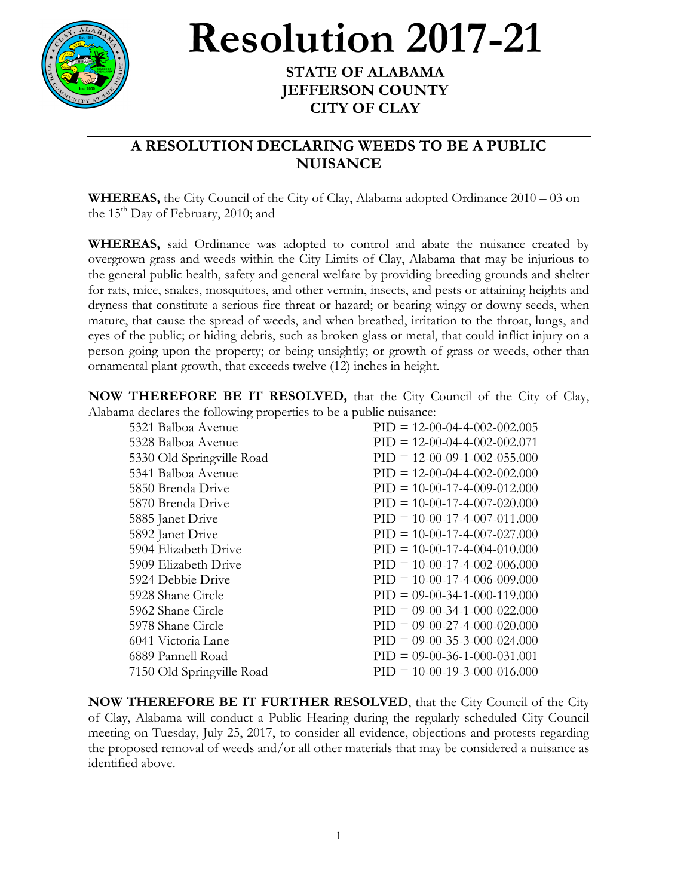

## **Resolution 2017-21**

## **JEFFERSON COUNTY CITY OF CLAY**

## **A RESOLUTION DECLARING WEEDS TO BE A PUBLIC NUISANCE**

**WHEREAS,** the City Council of the City of Clay, Alabama adopted Ordinance 2010 – 03 on the  $15<sup>th</sup>$  Day of February, 2010; and

**WHEREAS,** said Ordinance was adopted to control and abate the nuisance created by overgrown grass and weeds within the City Limits of Clay, Alabama that may be injurious to the general public health, safety and general welfare by providing breeding grounds and shelter for rats, mice, snakes, mosquitoes, and other vermin, insects, and pests or attaining heights and dryness that constitute a serious fire threat or hazard; or bearing wingy or downy seeds, when mature, that cause the spread of weeds, and when breathed, irritation to the throat, lungs, and eyes of the public; or hiding debris, such as broken glass or metal, that could inflict injury on a person going upon the property; or being unsightly; or growth of grass or weeds, other than ornamental plant growth, that exceeds twelve (12) inches in height.

**NOW THEREFORE BE IT RESOLVED,** that the City Council of the City of Clay, Alabama declares the following properties to be a public nuisance:

| 5321 Balboa Avenue        | $PID = 12-00-04-4-002-002.005$ |
|---------------------------|--------------------------------|
| 5328 Balboa Avenue        | $PID = 12-00-04-4-002-002.071$ |
| 5330 Old Springville Road | $PID = 12-00-09-1-002-055.000$ |
| 5341 Balboa Avenue        | $PID = 12-00-04-4-002-002.000$ |
| 5850 Brenda Drive         | $PID = 10-00-17-4-009-012.000$ |
| 5870 Brenda Drive         | $PID = 10-00-17-4-007-020.000$ |
| 5885 Janet Drive          | $PID = 10-00-17-4-007-011.000$ |
| 5892 Janet Drive          | $PID = 10-00-17-4-007-027.000$ |
| 5904 Elizabeth Drive      | $PID = 10-00-17-4-004-010.000$ |
| 5909 Elizabeth Drive      | $PID = 10-00-17-4-002-006.000$ |
| 5924 Debbie Drive         | $PID = 10-00-17-4-006-009.000$ |
| 5928 Shane Circle         | $PID = 09-00-34-1-000-119.000$ |
| 5962 Shane Circle         | $PID = 09-00-34-1-000-022.000$ |
| 5978 Shane Circle         | $PID = 09-00-27-4-000-020.000$ |
| 6041 Victoria Lane        | $PID = 09-00-35-3-000-024.000$ |
| 6889 Pannell Road         | $PID = 09-00-36-1-000-031.001$ |
| 7150 Old Springville Road | $PID = 10-00-19-3-000-016.000$ |
|                           |                                |

**NOW THEREFORE BE IT FURTHER RESOLVED**, that the City Council of the City of Clay, Alabama will conduct a Public Hearing during the regularly scheduled City Council meeting on Tuesday, July 25, 2017, to consider all evidence, objections and protests regarding the proposed removal of weeds and/or all other materials that may be considered a nuisance as identified above.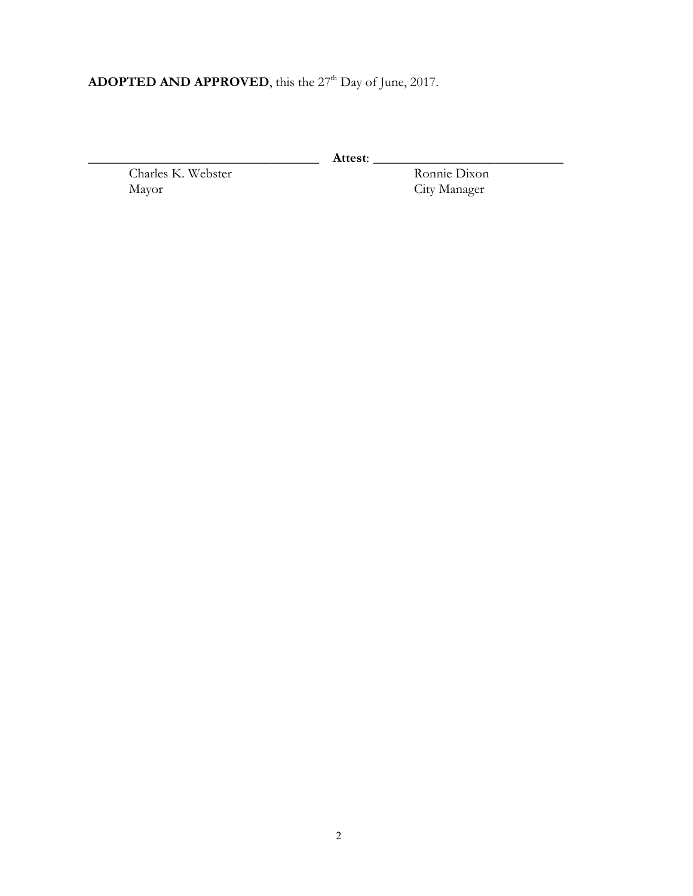## ADOPTED AND APPROVED, this the 27<sup>th</sup> Day of June, 2017.

Charles K. Webster<br>Mayor

\_\_\_\_\_\_\_\_\_\_\_\_\_\_\_\_\_\_\_\_\_\_\_\_\_\_\_\_\_\_\_\_\_\_ **Attest**: \_\_\_\_\_\_\_\_\_\_\_\_\_\_\_\_\_\_\_\_\_\_\_\_\_\_\_\_ City Manager